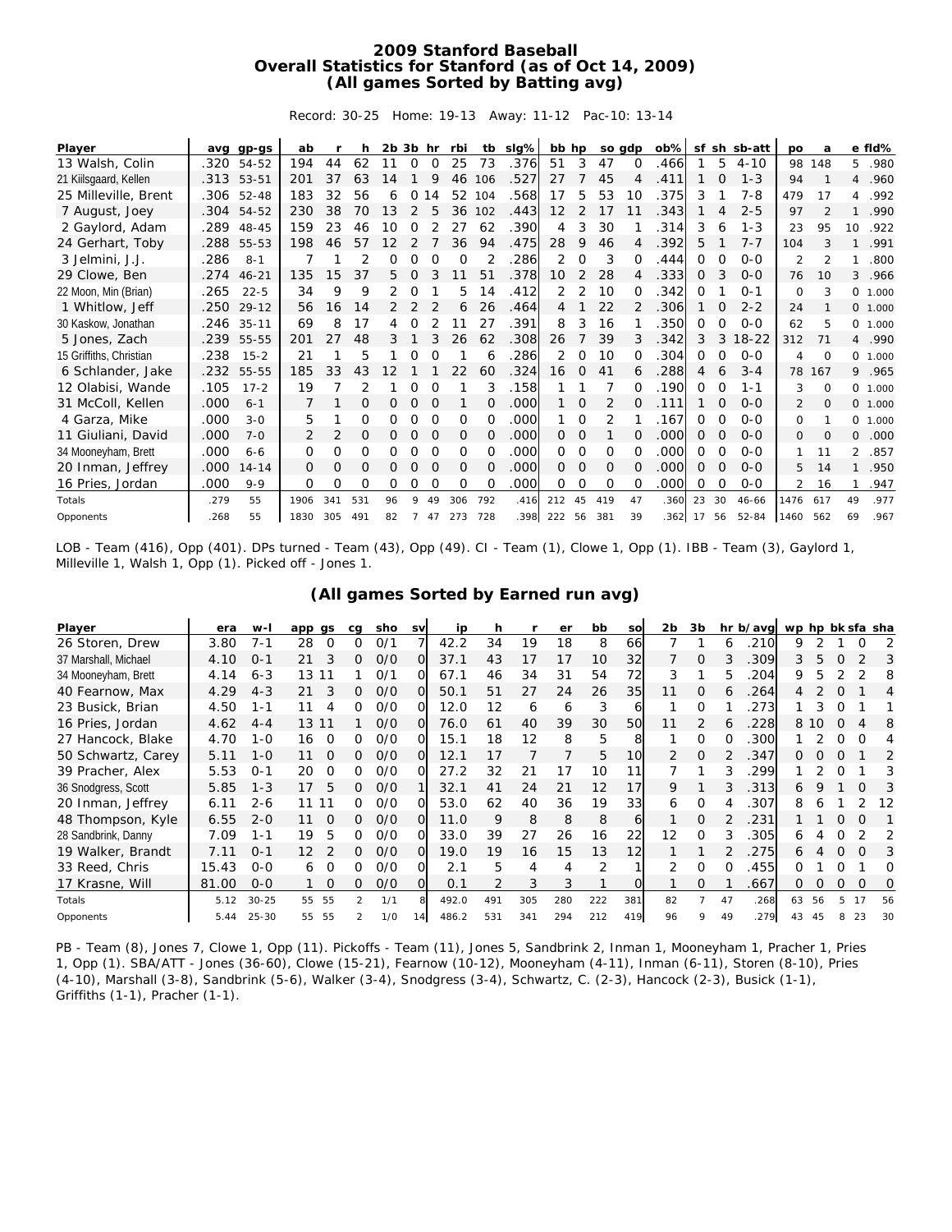## **2009 Stanford Baseball Overall Statistics for Stanford (as of Oct 14, 2009) (All games Sorted by Batting avg)**

Record: 30-25 Home: 19-13 Away: 11-12 Pac-10: 13-14

| Player                  |      | avg gp-gs  | ab           |     | h              | $2b$ $3b$ hr |                |          | rbi      | tb            | sig%l | bb hp             |              |          | so gdp       | ob%  |          |          | sf sh sb-att | po             | а        |                | e fld%   |
|-------------------------|------|------------|--------------|-----|----------------|--------------|----------------|----------|----------|---------------|-------|-------------------|--------------|----------|--------------|------|----------|----------|--------------|----------------|----------|----------------|----------|
| 13 Walsh, Colin         | .320 | 54-52      | 194          | 44  | 62             | 11           | $\Omega$       | $\Omega$ | 25       | 73            | .376  | 51                | 3            | 47       | $\Omega$     | .466 |          | 5        | $4 - 10$     | 98             | 148      | 5              | .980     |
| 21 Kiilsgaard, Kellen   | .313 | 53-51      | 201          | 37  | 63             | 14           |                | 9        | 46       | 106           | .527  | 27                |              | 45       |              | .411 |          | $\Omega$ | $1 - 3$      | 94             |          | 4              | .960     |
| 25 Milleville, Brent    |      | .306 52-48 | 183          | 32  | 56             | 6            | $\Omega$       | 14       | 52       | 104           | .568  | 17                | 5            | 53       | 10           | .375 | 3        |          | $7 - 8$      | 479            | 17       | 4              | .992     |
| 7 August, Joey          | .304 | 54-52      | 230          | 38  | 70             | 13           | 2              | 5        | 36       | 102           | .443  | $12 \overline{ }$ |              | 17       |              | .343 |          | 4        | $2 - 5$      | 97             |          |                | .990     |
| 2 Gaylord, Adam         | .289 | 48-45      | 159          | 23  | 46             | 10           | 0              |          | 27       | 62            | .390  | 4                 | 3            | 30       |              | .314 | 3        | 6        | $1 - 3$      | 23             | 95       | 10             | .922     |
| 24 Gerhart, Toby        | .288 | 55-53      | 198          | 46  | 57             | 12           | $\mathfrak{D}$ |          | 36       | 94            | .475  | 28                | 9            | 46       | 4            | .392 | 5        |          | $7 - 7$      | 104            |          |                | .991     |
| 3 Jelmini, J.J.         | .286 | $8 - 1$    |              |     | $\overline{2}$ | O            | Ο              |          | $\Omega$ | $\mathcal{P}$ | .286  | 2                 | $\Omega$     | 3        |              | .444 | O        |          | $O - O$      | $\overline{2}$ |          |                | .800     |
| 29 Clowe, Ben           | .274 | $46 - 21$  | 135          | 15  | 37             | 5.           | O              |          | 11       | 51            | .378  | 10                |              | 28       | 4            | .333 | $\Omega$ | 3        | $0 - 0$      | 76             | 10       | 3              | .966     |
| 22 Moon, Min (Brian)    | .265 | $22 - 5$   | 34           | 9   | 9              | 2            | Ο              |          | 5        | 14            | .412  |                   |              | 10       |              | 342  | Ο        |          | $O - 1$      | $\Omega$       | 3        | 0              | 1.000    |
| 1 Whitlow, Jeff         | .250 | $29 - 12$  | 56           | 16  | 14             | 2            |                |          | 6        | 26            | .464  | 4                 |              | 22       |              | .306 |          | $\Omega$ | $2 - 2$      | 24             |          |                | 0, 1,000 |
| 30 Kaskow, Jonathan     | .246 | $35 - 11$  | 69           | 8   | 17             | 4            | 0              |          |          | 27            | .391  | 8                 | 3            | 16       |              | 350  | 0        | 0        | $0 - 0$      | 62             | 5        | $\circ$        | 1.000    |
| 5 Jones, Zach           | .239 | 55-55      | 201          | 27  | 48             | 3            |                | 3        | 26       | 62            | .308  | 26                |              | 39       | 3            | .342 | 3        | 3        | $18 - 22$    | 312            | 71       | $\overline{4}$ | .990     |
| 15 Griffiths, Christian | .238 | $15 - 2$   | 21           |     | 5              |              |                |          |          | 6             | .286  | 2                 | <sup>o</sup> | 10       |              | .304 | 0        |          | $0 - 0$      | 4              | $\Omega$ | $\circ$        | 1.000    |
| 6 Schlander, Jake       | .232 | 55-55      | 185          | 33  | 43             |              |                |          | 22       | 60            | .324  | 16                | $\Omega$     | 41       |              | .288 | 4        | 6        | $3 - 4$      | 78             | 167      | 9              | .965     |
| 12 Olabisi, Wande       | .105 | $17 - 2$   | 19           |     |                |              |                | ∩        |          | 3             | .158  |                   |              |          |              | .190 | O        | $\Omega$ | 1-1          | 3              | $\Omega$ | $\Omega$       | 1.000    |
| 31 McColl, Kellen       | .000 | $6 - 1$    |              |     | Ο              | Ο            | 0              | $\Omega$ |          | 0             | .000  |                   | 0            | 2        |              | .111 |          | O        | $0 - 0$      | 2              | $\Omega$ | $\mathbf{O}$   | 1.000    |
| 4 Garza, Mike           | .000 | $3 - 0$    | 5            |     | O              | 0            | Ο              | 0        | $\Omega$ | 0             | .000  |                   | $\Omega$     | 2        |              | .167 | 0        | O        | $0 - 0$      | $\Omega$       |          | $\circ$        | 1.000    |
| 11 Giuliani, David      | .000 | $7 - 0$    | 2            | 2   | 0              | 0            | 0              | $\Omega$ | 0        | $\Omega$      | .000  | $\Omega$          | $\Omega$     |          | O            | .000 | 0        | 0        | $0-0$        | $\mathbf{0}$   | $\Omega$ | 0              | .000     |
| 34 Mooneyham, Brett     | .000 | $6 - 6$    | 0            | 0   | 0              | 0            | 0              | $\Omega$ | $\Omega$ | $\Omega$      | .000  | $\Omega$          | 0            | $\Omega$ |              | .000 | 0        | 0        | $O-O$        |                | 11       | 2              | .857     |
| 20 Inman, Jeffrey       | .000 | $14 - 14$  | $\mathbf{0}$ | 0   | $\Omega$       | 0            | $\Omega$       | $\Omega$ | 0        | $\Omega$      | .000  | 0                 | 0            | 0        | 0            | .000 | 0        | $\Omega$ | $0 - 0$      | 5              | 14       |                | .950     |
| 16 Pries, Jordan        | .000 | $9 - 9$    | 0            | 0   | Ο              | 0            | Ο              | $\Omega$ | O        | 0             | .000  | 0                 | 0            | $\Omega$ | <sup>o</sup> | .000 | 0        | $\Omega$ | $0 - 0$      | $\overline{2}$ | 16       |                | .947     |
| Totals                  | .279 | 55         | 1906         | 341 | 531            | 96           | Q              | 49       | 306      | 792           | .416  | 212               | 45           | 419      | 47           | .360 | 23       | 30       | $46 - 66$    | 1476           | 617      | 49             | .977     |
| Opponents               | .268 | 55         | 1830         | 305 | 491            | 82           |                | 47       | 273      | 728           | 398   | 222               | 56           | 381      | 39           | 362  | 17       | 56       | $52 - 84$    | 1460           | 562      | 69             | .967     |

LOB - Team (416), Opp (401). DPs turned - Team (43), Opp (49). CI - Team (1), Clowe 1, Opp (1). IBB - Team (3), Gaylord 1, Milleville 1, Walsh 1, Opp (1). Picked off - Jones 1.

| (All games Sorted by Earned run avg) |  |
|--------------------------------------|--|
|--------------------------------------|--|

| Player               | era   | w-I       | app gs         | cq            | sho | sv | ip    | h   | r              | er  | bb  | <b>SO</b> | 2b            | 3b       |    | hr b/avg | wp hp bk sfa sha |      |          |          |    |
|----------------------|-------|-----------|----------------|---------------|-----|----|-------|-----|----------------|-----|-----|-----------|---------------|----------|----|----------|------------------|------|----------|----------|----|
| 26 Storen, Drew      | 3.80  | $7 - 1$   | 28<br>$\Omega$ | 0             | O/1 |    | 42.2  | 34  | 19             | 18  | 8   | 66        |               |          | 6  | .210     | 9                |      |          | 0        | 2  |
| 37 Marshall, Michael | 4.10  | $O - 1$   | 3<br>21        | 0             | O/O | O  | 37.1  | 43  | 17             | 17  | 10  | 32        |               | $\Omega$ | 3  | 309      | 3                | 5    | O        |          | 3  |
| 34 Mooneyham, Brett  | 4.14  | $6 - 3$   | 13<br>11       |               | 0/1 | Ω  | 67.1  | 46  | 34             | 31  | 54  | 72        | 3             |          | h. | 204      | 9                |      |          |          | 8  |
| 40 Fearnow, Max      | 4.29  | $4 - 3$   | 3<br>21        | 0             | O/O | Ο  | 50.1  | 51  | 27             | 24  | 26  | <b>35</b> | 11            | 0        |    | 264      | 4                |      |          |          | 4  |
| 23 Busick, Brian     | 4.50  | 1-1       | 11<br>4        | 0             | 0/0 | O  | 12.0  | 12  | 6              | 6   | 3   | 6         |               | Ο        |    | 273      |                  |      |          |          |    |
| 16 Pries, Jordan     | 4.62  | $4 - 4$   | 13 11          |               | O/O | O  | 76.0  | 61  | 40             | 39  | 30  | 50        | 11            |          | 6  | 228      |                  | 8 10 | $\Omega$ |          | 8  |
| 27 Hancock, Blake    | 4.70  | $1 - 0$   | 16<br>0        | O.            | 0/0 |    | 15.1  | 18  | 12             | 8   | 5   | 8         |               | Ο        |    | 300      |                  |      |          | O        |    |
| 50 Schwartz, Carey   | 5.11  | $1 - 0$   | 11<br>$\Omega$ | O.            | O/O |    | 12.1  | 17  |                |     | 5   | 10        |               | O        |    | 347      | 0                | O    | $\Omega$ |          | 2  |
| 39 Pracher, Alex     | 5.53  | $O - 1$   | 20<br>O        | O.            | 0/0 |    | 27.2  | 32  | 21             |     | 10  | 11        |               |          |    | 299      |                  |      |          |          | 3  |
| 36 Snodgress, Scott  | 5.85  | $1 - 3$   | 17<br>5        | O.            | 0/0 |    | 32.1  | 41  | 24             | 21  | 12  | 17        | 9             |          |    | .313     | 6                |      |          | $\Omega$ | 3  |
| 20 Inman, Jeffrey    | 6.11  | $2 - 6$   | 11<br>-11      | O.            | 0/0 |    | 53.0  | 62  | 40             | 36  | 19  | 33        | 6             | O        |    | 307      | 8                |      |          |          | 12 |
| 48 Thompson, Kyle    | 6.55  | $2 - 0$   | 11<br>$\Omega$ | 0.            | O/O |    | 11.0  | 9   | 8              | 8   | 8   | 6         |               | $\Omega$ |    | 231      |                  |      |          | $\Omega$ |    |
| 28 Sandbrink, Danny  | 7.09  | 1-1       | 19<br>5        | Ω             | 0/0 |    | 33.0  | 39  | 27             | 26  | 16  | 22        | 12            | $\Omega$ |    | 305      | 6                |      |          |          | 2  |
| 19 Walker, Brandt    | 7.11  | $O - 1$   | 12             | O.            | O/O |    | 19.0  | 19  | 16             | 15  | 13  | 12        |               |          |    | 275      | 6                |      | $\Omega$ | $\Omega$ | 3  |
| 33 Reed, Chris       | 15.43 | $0 - 0$   | $\Omega$<br>6  | ∩             | 0/0 |    | 2.1   | 5   | $\overline{4}$ | 4   | 2   |           | $\mathcal{P}$ | $\Omega$ |    | .455     | ∩                |      |          |          | O  |
| 17 Krasne, Will      | 81.00 | $0 - 0$   | $\Omega$       | 0             | 0/0 |    | 0.1   |     | 3              | 3   |     |           |               | 0        |    | .667     | 0                | O    | O        | $\Omega$ | O  |
| Totals               | 5.12  | $30 - 25$ | 55<br>55       |               | 1/1 |    | 492.0 | 491 | 305            | 280 | 222 | 381       | 82            |          | 47 | .268     | 63               | 56   |          |          | 56 |
| Opponents            | 5.44  | $25 - 30$ | 55<br>55       | $\mathcal{P}$ | 1/0 | 14 | 486.2 | 531 | 341            | 294 | 212 | 419       | 96            | a        | 49 | 279      | 43               | 45   |          | 23       | 30 |

PB - Team (8), Jones 7, Clowe 1, Opp (11). Pickoffs - Team (11), Jones 5, Sandbrink 2, Inman 1, Mooneyham 1, Pracher 1, Pries 1, Opp (1). SBA/ATT - Jones (36-60), Clowe (15-21), Fearnow (10-12), Mooneyham (4-11), Inman (6-11), Storen (8-10), Pries (4-10), Marshall (3-8), Sandbrink (5-6), Walker (3-4), Snodgress (3-4), Schwartz, C. (2-3), Hancock (2-3), Busick (1-1), Griffiths (1-1), Pracher (1-1).